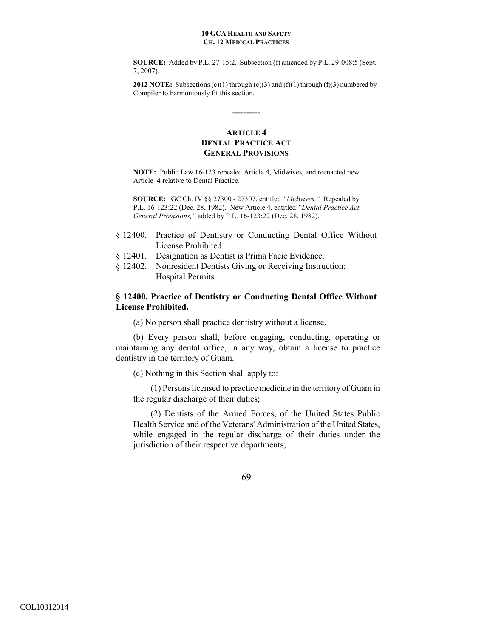**SOURCE:** Added by P.L. 27-15:2. Subsection (f) amended by P.L. 29-008:5 (Sept. 7, 2007).

**2012 NOTE:** Subsections (c)(1) through (c)(3) and (f)(1) through (f)(3) numbered by Compiler to harmoniously fit this section.

# **ARTICLE 4 DENTAL PRACTICE ACT GENERAL PROVISIONS**

----------

**NOTE:** Public Law 16-123 repealed Article 4, Midwives, and reenacted new Article 4 relative to Dental Practice.

**SOURCE:** GC Ch. IV §§ 27300 - 27307, entitled *"Midwives."* Repealed by P.L. 16-123:22 (Dec. 28, 1982). New Article 4, entitled *"Dental Practice Act General Provisions,"* added by P.L. 16-123:22 (Dec. 28, 1982).

- § 12400. Practice of Dentistry or Conducting Dental Office Without License Prohibited.
- § 12401. Designation as Dentist is Prima Facie Evidence.
- § 12402. Nonresident Dentists Giving or Receiving Instruction; Hospital Permits.

# **§ 12400. Practice of Dentistry or Conducting Dental Office Without License Prohibited.**

(a) No person shall practice dentistry without a license.

(b) Every person shall, before engaging, conducting, operating or maintaining any dental office, in any way, obtain a license to practice dentistry in the territory of Guam.

(c) Nothing in this Section shall apply to:

(1) Persons licensed to practice medicine in the territory of Guam in the regular discharge of their duties;

(2) Dentists of the Armed Forces, of the United States Public Health Service and of the Veterans' Administration of the United States, while engaged in the regular discharge of their duties under the jurisdiction of their respective departments;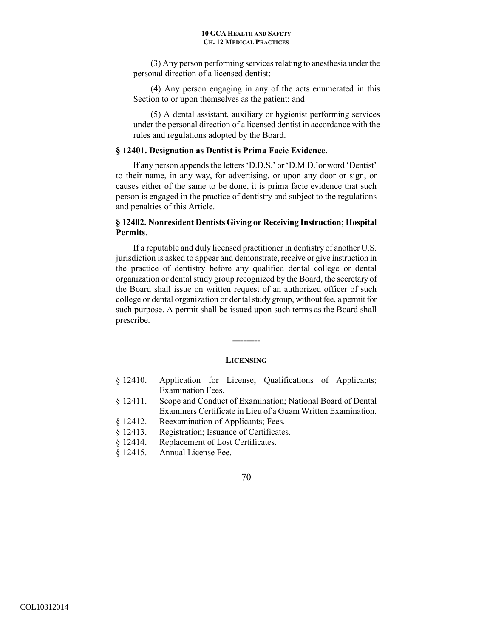(3) Any person performing services relating to anesthesia under the personal direction of a licensed dentist;

(4) Any person engaging in any of the acts enumerated in this Section to or upon themselves as the patient; and

(5) A dental assistant, auxiliary or hygienist performing services under the personal direction of a licensed dentist in accordance with the rules and regulations adopted by the Board.

# **§ 12401. Designation as Dentist is Prima Facie Evidence.**

 If any person appends the letters 'D.D.S.' or 'D.M.D.'or word 'Dentist' to their name, in any way, for advertising, or upon any door or sign, or causes either of the same to be done, it is prima facie evidence that such person is engaged in the practice of dentistry and subject to the regulations and penalties of this Article.

# **§ 12402. Nonresident Dentists Giving or Receiving Instruction; Hospital Permits**.

 If a reputable and duly licensed practitioner in dentistry of another U.S. jurisdiction is asked to appear and demonstrate, receive or give instruction in the practice of dentistry before any qualified dental college or dental organization or dental study group recognized by the Board, the secretary of the Board shall issue on written request of an authorized officer of such college or dental organization or dental study group, without fee, a permit for such purpose. A permit shall be issued upon such terms as the Board shall prescribe.

### **LICENSING**

----------

- § 12410. Application for License; Qualifications of Applicants; Examination Fees.
- § 12411. Scope and Conduct of Examination; National Board of Dental Examiners Certificate in Lieu of a Guam Written Examination.
- § 12412. Reexamination of Applicants; Fees.
- § 12413. Registration; Issuance of Certificates.
- § 12414. Replacement of Lost Certificates.
- § 12415. Annual License Fee.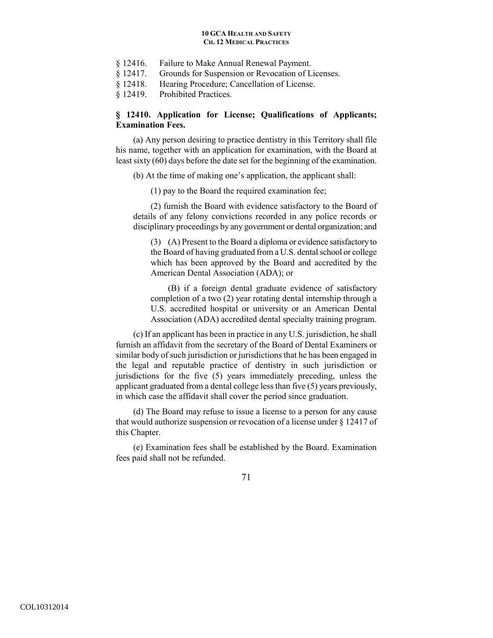- § 12416. Failure to Make Annual Renewal Payment.
- § 12417. Grounds for Suspension or Revocation of Licenses.
- § 12418. Hearing Procedure; Cancellation of License.
- § 12419. Prohibited Practices.

# **§ 12410. Application for License; Qualifications of Applicants; Examination Fees.**

 (a) Any person desiring to practice dentistry in this Territory shall file his name, together with an application for examination, with the Board at least sixty (60) days before the date set for the beginning of the examination.

(b) At the time of making one's application, the applicant shall:

(1) pay to the Board the required examination fee;

(2) furnish the Board with evidence satisfactory to the Board of details of any felony convictions recorded in any police records or disciplinary proceedings by any government or dental organization; and

(3) (A) Present to the Board a diploma or evidence satisfactory to the Board of having graduated from a U.S. dental school or college which has been approved by the Board and accredited by the American Dental Association (ADA); or

(B) if a foreign dental graduate evidence of satisfactory completion of a two (2) year rotating dental internship through a U.S. accredited hospital or university or an American Dental Association (ADA) accredited dental specialty training program.

(c) If an applicant has been in practice in any U.S. jurisdiction, he shall furnish an affidavit from the secretary of the Board of Dental Examiners or similar body of such jurisdiction or jurisdictions that he has been engaged in the legal and reputable practice of dentistry in such jurisdiction or jurisdictions for the five (5) years immediately preceding, unless the applicant graduated from a dental college less than five (5) years previously, in which case the affidavit shall cover the period since graduation.

(d) The Board may refuse to issue a license to a person for any cause that would authorize suspension or revocation of a license under § 12417 of this Chapter.

(e) Examination fees shall be established by the Board. Examination fees paid shall not be refunded.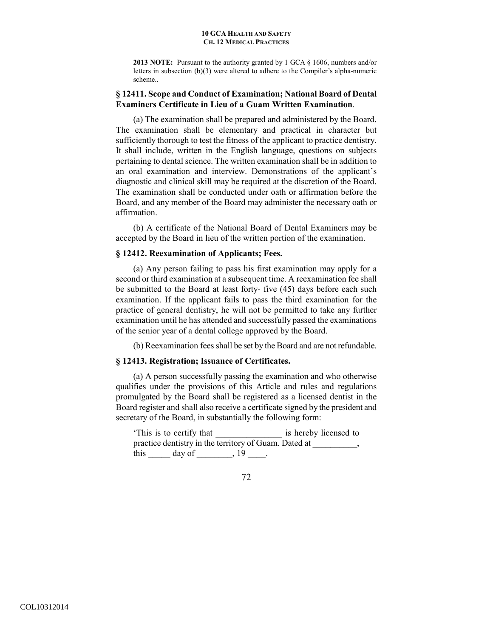**2013 NOTE:** Pursuant to the authority granted by 1 GCA § 1606, numbers and/or letters in subsection (b)(3) were altered to adhere to the Compiler's alpha-numeric scheme..

# **§ 12411. Scope and Conduct of Examination; National Board of Dental Examiners Certificate in Lieu of a Guam Written Examination**.

 (a) The examination shall be prepared and administered by the Board. The examination shall be elementary and practical in character but sufficiently thorough to test the fitness of the applicant to practice dentistry. It shall include, written in the English language, questions on subjects pertaining to dental science. The written examination shall be in addition to an oral examination and interview. Demonstrations of the applicant's diagnostic and clinical skill may be required at the discretion of the Board. The examination shall be conducted under oath or affirmation before the Board, and any member of the Board may administer the necessary oath or affirmation.

(b) A certificate of the National Board of Dental Examiners may be accepted by the Board in lieu of the written portion of the examination.

# **§ 12412. Reexamination of Applicants; Fees.**

 (a) Any person failing to pass his first examination may apply for a second or third examination at a subsequent time. A reexamination fee shall be submitted to the Board at least forty- five (45) days before each such examination. If the applicant fails to pass the third examination for the practice of general dentistry, he will not be permitted to take any further examination until he has attended and successfully passed the examinations of the senior year of a dental college approved by the Board.

(b) Reexamination fees shall be set by the Board and are not refundable.

# **§ 12413. Registration; Issuance of Certificates.**

 (a) A person successfully passing the examination and who otherwise qualifies under the provisions of this Article and rules and regulations promulgated by the Board shall be registered as a licensed dentist in the Board register and shall also receive a certificate signed by the president and secretary of the Board, in substantially the following form:

This is to certify that is hereby licensed to practice dentistry in the territory of Guam. Dated at  $\qquad \qquad$ this  $\_\_\_\_\$  day of  $\_\_\_\_\_\$  19  $\_\_\_\$ .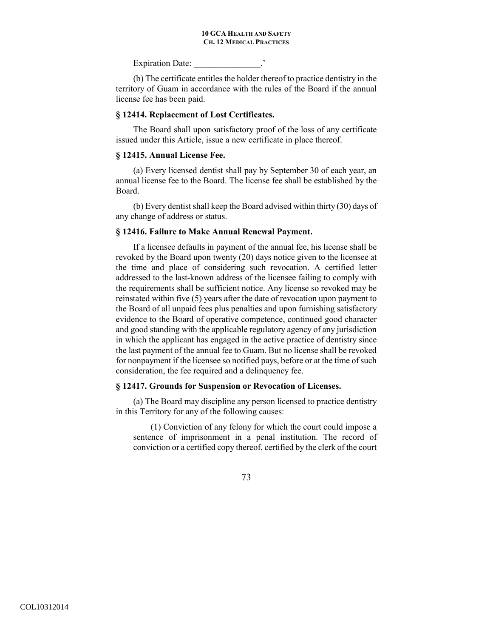Expiration Date:

(b) The certificate entitles the holder thereof to practice dentistry in the territory of Guam in accordance with the rules of the Board if the annual license fee has been paid.

### **§ 12414. Replacement of Lost Certificates.**

 The Board shall upon satisfactory proof of the loss of any certificate issued under this Article, issue a new certificate in place thereof.

## **§ 12415. Annual License Fee.**

 (a) Every licensed dentist shall pay by September 30 of each year, an annual license fee to the Board. The license fee shall be established by the Board.

(b) Every dentist shall keep the Board advised within thirty (30) days of any change of address or status.

### **§ 12416. Failure to Make Annual Renewal Payment.**

 If a licensee defaults in payment of the annual fee, his license shall be revoked by the Board upon twenty (20) days notice given to the licensee at the time and place of considering such revocation. A certified letter addressed to the last-known address of the licensee failing to comply with the requirements shall be sufficient notice. Any license so revoked may be reinstated within five (5) years after the date of revocation upon payment to the Board of all unpaid fees plus penalties and upon furnishing satisfactory evidence to the Board of operative competence, continued good character and good standing with the applicable regulatory agency of any jurisdiction in which the applicant has engaged in the active practice of dentistry since the last payment of the annual fee to Guam. But no license shall be revoked for nonpayment if the licensee so notified pays, before or at the time of such consideration, the fee required and a delinquency fee.

### **§ 12417. Grounds for Suspension or Revocation of Licenses.**

 (a) The Board may discipline any person licensed to practice dentistry in this Territory for any of the following causes:

(1) Conviction of any felony for which the court could impose a sentence of imprisonment in a penal institution. The record of conviction or a certified copy thereof, certified by the clerk of the court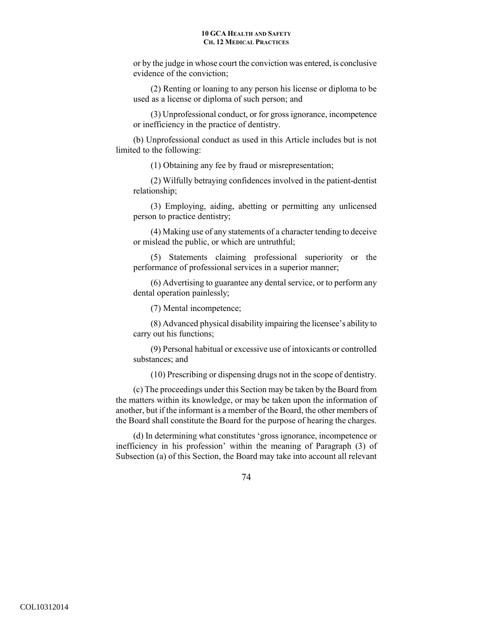or by the judge in whose court the conviction was entered, is conclusive evidence of the conviction;

(2) Renting or loaning to any person his license or diploma to be used as a license or diploma of such person; and

(3) Unprofessional conduct, or for gross ignorance, incompetence or inefficiency in the practice of dentistry.

(b) Unprofessional conduct as used in this Article includes but is not limited to the following:

(1) Obtaining any fee by fraud or misrepresentation;

(2) Wilfully betraying confidences involved in the patient-dentist relationship;

(3) Employing, aiding, abetting or permitting any unlicensed person to practice dentistry;

(4) Making use of any statements of a character tending to deceive or mislead the public, or which are untruthful;

(5) Statements claiming professional superiority or the performance of professional services in a superior manner;

(6) Advertising to guarantee any dental service, or to perform any dental operation painlessly;

(7) Mental incompetence;

(8) Advanced physical disability impairing the licensee's ability to carry out his functions;

(9) Personal habitual or excessive use of intoxicants or controlled substances; and

(10) Prescribing or dispensing drugs not in the scope of dentistry.

(c) The proceedings under this Section may be taken by the Board from the matters within its knowledge, or may be taken upon the information of another, but if the informant is a member of the Board, the other members of the Board shall constitute the Board for the purpose of hearing the charges.

(d) In determining what constitutes 'gross ignorance, incompetence or inefficiency in his profession' within the meaning of Paragraph (3) of Subsection (a) of this Section, the Board may take into account all relevant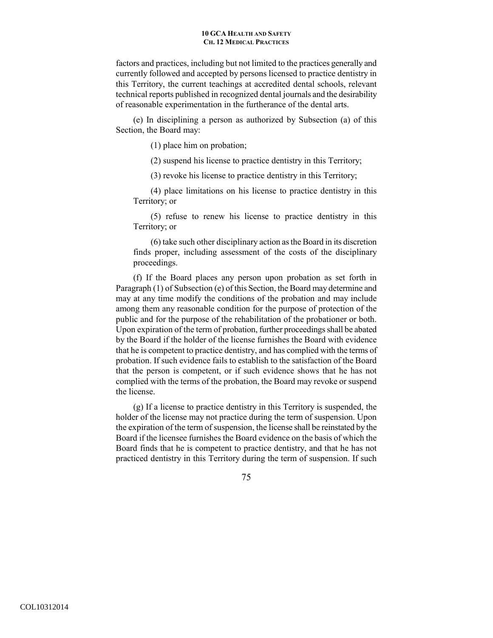factors and practices, including but not limited to the practices generally and currently followed and accepted by persons licensed to practice dentistry in this Territory, the current teachings at accredited dental schools, relevant technical reports published in recognized dental journals and the desirability of reasonable experimentation in the furtherance of the dental arts.

(e) In disciplining a person as authorized by Subsection (a) of this Section, the Board may:

(1) place him on probation;

(2) suspend his license to practice dentistry in this Territory;

(3) revoke his license to practice dentistry in this Territory;

(4) place limitations on his license to practice dentistry in this Territory; or

(5) refuse to renew his license to practice dentistry in this Territory; or

(6) take such other disciplinary action as the Board in its discretion finds proper, including assessment of the costs of the disciplinary proceedings.

(f) If the Board places any person upon probation as set forth in Paragraph (1) of Subsection (e) of this Section, the Board may determine and may at any time modify the conditions of the probation and may include among them any reasonable condition for the purpose of protection of the public and for the purpose of the rehabilitation of the probationer or both. Upon expiration of the term of probation, further proceedings shall be abated by the Board if the holder of the license furnishes the Board with evidence that he is competent to practice dentistry, and has complied with the terms of probation. If such evidence fails to establish to the satisfaction of the Board that the person is competent, or if such evidence shows that he has not complied with the terms of the probation, the Board may revoke or suspend the license.

(g) If a license to practice dentistry in this Territory is suspended, the holder of the license may not practice during the term of suspension. Upon the expiration of the term of suspension, the license shall be reinstated by the Board if the licensee furnishes the Board evidence on the basis of which the Board finds that he is competent to practice dentistry, and that he has not practiced dentistry in this Territory during the term of suspension. If such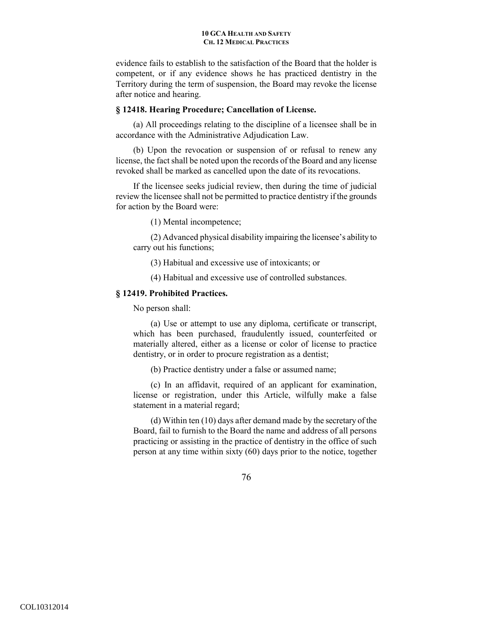evidence fails to establish to the satisfaction of the Board that the holder is competent, or if any evidence shows he has practiced dentistry in the Territory during the term of suspension, the Board may revoke the license after notice and hearing.

# **§ 12418. Hearing Procedure; Cancellation of License.**

 (a) All proceedings relating to the discipline of a licensee shall be in accordance with the Administrative Adjudication Law.

(b) Upon the revocation or suspension of or refusal to renew any license, the fact shall be noted upon the records of the Board and any license revoked shall be marked as cancelled upon the date of its revocations.

If the licensee seeks judicial review, then during the time of judicial review the licensee shall not be permitted to practice dentistry if the grounds for action by the Board were:

(1) Mental incompetence;

(2) Advanced physical disability impairing the licensee's ability to carry out his functions;

(3) Habitual and excessive use of intoxicants; or

(4) Habitual and excessive use of controlled substances.

## **§ 12419. Prohibited Practices.**

No person shall:

(a) Use or attempt to use any diploma, certificate or transcript, which has been purchased, fraudulently issued, counterfeited or materially altered, either as a license or color of license to practice dentistry, or in order to procure registration as a dentist;

(b) Practice dentistry under a false or assumed name;

(c) In an affidavit, required of an applicant for examination, license or registration, under this Article, wilfully make a false statement in a material regard;

(d) Within ten (10) days after demand made by the secretary of the Board, fail to furnish to the Board the name and address of all persons practicing or assisting in the practice of dentistry in the office of such person at any time within sixty (60) days prior to the notice, together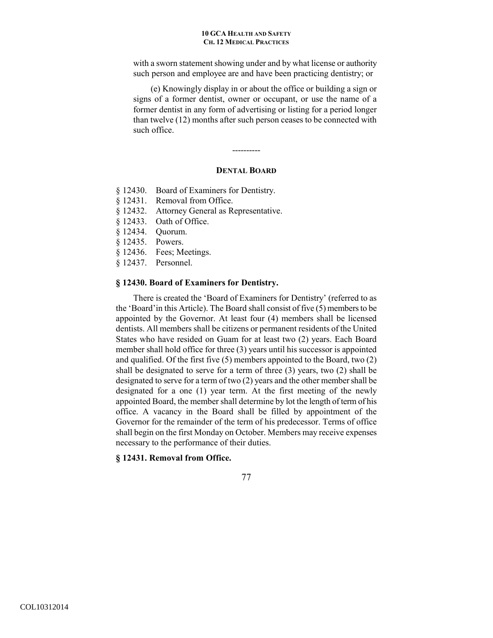with a sworn statement showing under and by what license or authority such person and employee are and have been practicing dentistry; or

(e) Knowingly display in or about the office or building a sign or signs of a former dentist, owner or occupant, or use the name of a former dentist in any form of advertising or listing for a period longer than twelve (12) months after such person ceases to be connected with such office.

# **DENTAL BOARD**

----------

- § 12430. Board of Examiners for Dentistry.
- § 12431. Removal from Office.
- § 12432. Attorney General as Representative.
- § 12433. Oath of Office.
- § 12434. Quorum.
- § 12435. Powers.
- § 12436. Fees; Meetings.
- § 12437. Personnel.

## **§ 12430. Board of Examiners for Dentistry.**

There is created the 'Board of Examiners for Dentistry' (referred to as the 'Board'in this Article). The Board shall consist of five (5) members to be appointed by the Governor. At least four (4) members shall be licensed dentists. All members shall be citizens or permanent residents of the United States who have resided on Guam for at least two (2) years. Each Board member shall hold office for three (3) years until his successor is appointed and qualified. Of the first five (5) members appointed to the Board, two (2) shall be designated to serve for a term of three (3) years, two (2) shall be designated to serve for a term of two (2) years and the other member shall be designated for a one (1) year term. At the first meeting of the newly appointed Board, the member shall determine by lot the length of term of his office. A vacancy in the Board shall be filled by appointment of the Governor for the remainder of the term of his predecessor. Terms of office shall begin on the first Monday on October. Members may receive expenses necessary to the performance of their duties.

### **§ 12431. Removal from Office.**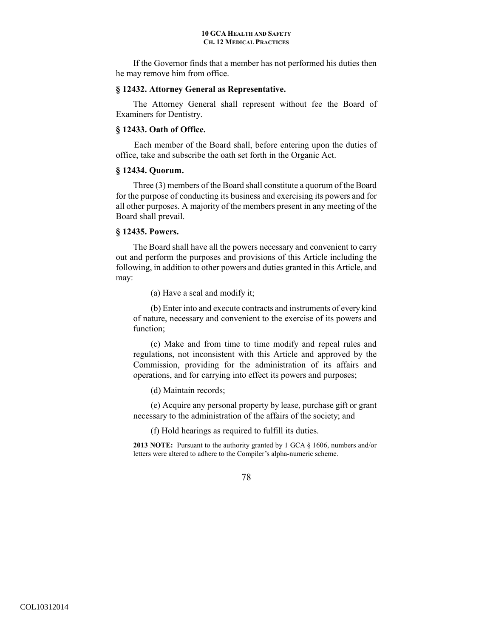If the Governor finds that a member has not performed his duties then he may remove him from office.

# **§ 12432. Attorney General as Representative.**

 The Attorney General shall represent without fee the Board of Examiners for Dentistry.

# **§ 12433. Oath of Office.**

Each member of the Board shall, before entering upon the duties of office, take and subscribe the oath set forth in the Organic Act.

# **§ 12434. Quorum.**

 Three (3) members of the Board shall constitute a quorum of the Board for the purpose of conducting its business and exercising its powers and for all other purposes. A majority of the members present in any meeting of the Board shall prevail.

# **§ 12435. Powers.**

 The Board shall have all the powers necessary and convenient to carry out and perform the purposes and provisions of this Article including the following, in addition to other powers and duties granted in this Article, and may:

(a) Have a seal and modify it;

(b) Enter into and execute contracts and instruments of every kind of nature, necessary and convenient to the exercise of its powers and function;

(c) Make and from time to time modify and repeal rules and regulations, not inconsistent with this Article and approved by the Commission, providing for the administration of its affairs and operations, and for carrying into effect its powers and purposes;

(d) Maintain records;

(e) Acquire any personal property by lease, purchase gift or grant necessary to the administration of the affairs of the society; and

(f) Hold hearings as required to fulfill its duties.

**2013 NOTE:** Pursuant to the authority granted by 1 GCA § 1606, numbers and/or letters were altered to adhere to the Compiler's alpha-numeric scheme.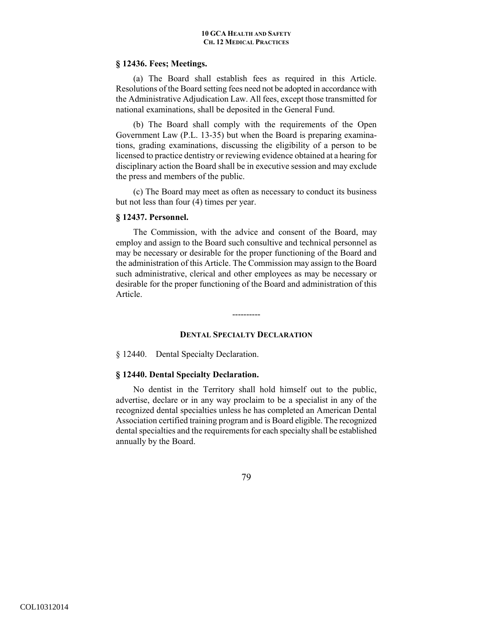### **§ 12436. Fees; Meetings.**

 (a) The Board shall establish fees as required in this Article. Resolutions of the Board setting fees need not be adopted in accordance with the Administrative Adjudication Law. All fees, except those transmitted for national examinations, shall be deposited in the General Fund.

(b) The Board shall comply with the requirements of the Open Government Law (P.L. 13-35) but when the Board is preparing examinations, grading examinations, discussing the eligibility of a person to be licensed to practice dentistry or reviewing evidence obtained at a hearing for disciplinary action the Board shall be in executive session and may exclude the press and members of the public.

(c) The Board may meet as often as necessary to conduct its business but not less than four (4) times per year.

# **§ 12437. Personnel.**

 The Commission, with the advice and consent of the Board, may employ and assign to the Board such consultive and technical personnel as may be necessary or desirable for the proper functioning of the Board and the administration of this Article. The Commission may assign to the Board such administrative, clerical and other employees as may be necessary or desirable for the proper functioning of the Board and administration of this Article.

----------

# **DENTAL SPECIALTY DECLARATION**

§ 12440. Dental Specialty Declaration.

# **§ 12440. Dental Specialty Declaration.**

 No dentist in the Territory shall hold himself out to the public, advertise, declare or in any way proclaim to be a specialist in any of the recognized dental specialties unless he has completed an American Dental Association certified training program and is Board eligible. The recognized dental specialties and the requirements for each specialty shall be established annually by the Board.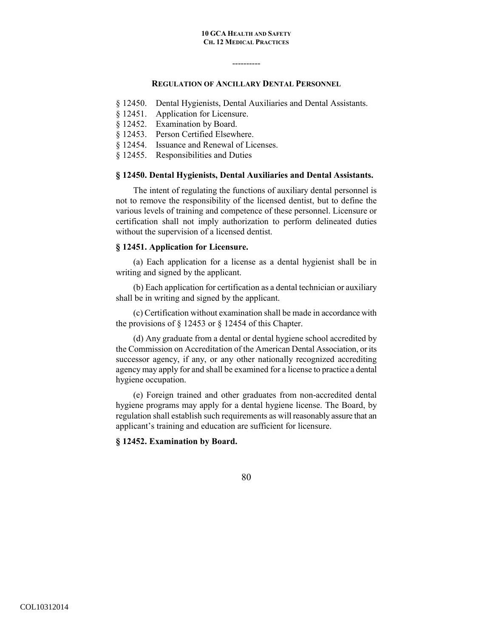## **REGULATION OF ANCILLARY DENTAL PERSONNEL**

----------

- § 12450. Dental Hygienists, Dental Auxiliaries and Dental Assistants.
- § 12451. Application for Licensure.
- § 12452. Examination by Board.
- § 12453. Person Certified Elsewhere.
- § 12454. Issuance and Renewal of Licenses.
- § 12455. Responsibilities and Duties

### **§ 12450. Dental Hygienists, Dental Auxiliaries and Dental Assistants.**

 The intent of regulating the functions of auxiliary dental personnel is not to remove the responsibility of the licensed dentist, but to define the various levels of training and competence of these personnel. Licensure or certification shall not imply authorization to perform delineated duties without the supervision of a licensed dentist.

# **§ 12451. Application for Licensure.**

 (a) Each application for a license as a dental hygienist shall be in writing and signed by the applicant.

(b) Each application for certification as a dental technician or auxiliary shall be in writing and signed by the applicant.

(c) Certification without examination shall be made in accordance with the provisions of § 12453 or § 12454 of this Chapter.

(d) Any graduate from a dental or dental hygiene school accredited by the Commission on Accreditation of the American Dental Association, or its successor agency, if any, or any other nationally recognized accrediting agency may apply for and shall be examined for a license to practice a dental hygiene occupation.

(e) Foreign trained and other graduates from non-accredited dental hygiene programs may apply for a dental hygiene license. The Board, by regulation shall establish such requirements as will reasonably assure that an applicant's training and education are sufficient for licensure.

### **§ 12452. Examination by Board.**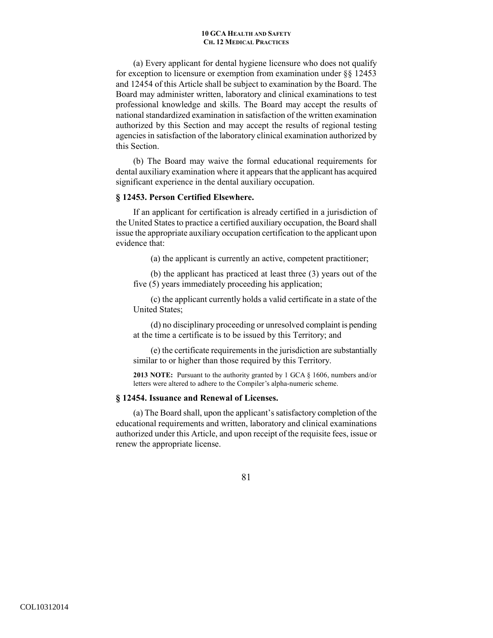(a) Every applicant for dental hygiene licensure who does not qualify for exception to licensure or exemption from examination under §§ 12453 and 12454 of this Article shall be subject to examination by the Board. The Board may administer written, laboratory and clinical examinations to test professional knowledge and skills. The Board may accept the results of national standardized examination in satisfaction of the written examination authorized by this Section and may accept the results of regional testing agencies in satisfaction of the laboratory clinical examination authorized by this Section.

(b) The Board may waive the formal educational requirements for dental auxiliary examination where it appears that the applicant has acquired significant experience in the dental auxiliary occupation.

# **§ 12453. Person Certified Elsewhere.**

 If an applicant for certification is already certified in a jurisdiction of the United States to practice a certified auxiliary occupation, the Board shall issue the appropriate auxiliary occupation certification to the applicant upon evidence that:

(a) the applicant is currently an active, competent practitioner;

(b) the applicant has practiced at least three (3) years out of the five (5) years immediately proceeding his application;

(c) the applicant currently holds a valid certificate in a state of the United States;

(d) no disciplinary proceeding or unresolved complaint is pending at the time a certificate is to be issued by this Territory; and

(e) the certificate requirements in the jurisdiction are substantially similar to or higher than those required by this Territory.

**2013 NOTE:** Pursuant to the authority granted by 1 GCA § 1606, numbers and/or letters were altered to adhere to the Compiler's alpha-numeric scheme.

# **§ 12454. Issuance and Renewal of Licenses.**

 (a) The Board shall, upon the applicant's satisfactory completion of the educational requirements and written, laboratory and clinical examinations authorized under this Article, and upon receipt of the requisite fees, issue or renew the appropriate license.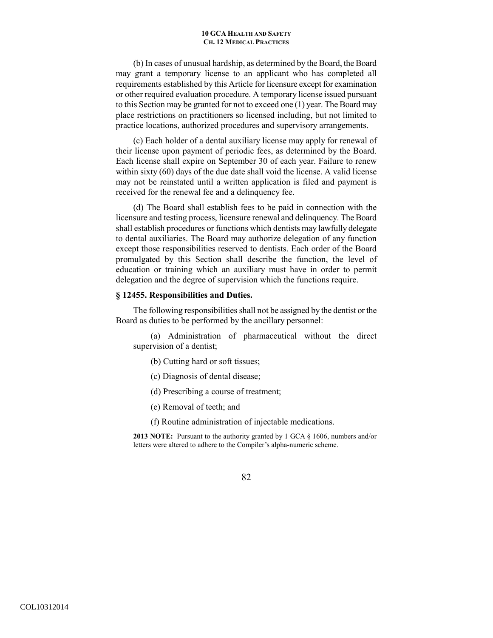(b) In cases of unusual hardship, as determined by the Board, the Board may grant a temporary license to an applicant who has completed all requirements established by this Article for licensure except for examination or other required evaluation procedure. A temporary license issued pursuant to this Section may be granted for not to exceed one (1) year. The Board may place restrictions on practitioners so licensed including, but not limited to practice locations, authorized procedures and supervisory arrangements.

(c) Each holder of a dental auxiliary license may apply for renewal of their license upon payment of periodic fees, as determined by the Board. Each license shall expire on September 30 of each year. Failure to renew within sixty (60) days of the due date shall void the license. A valid license may not be reinstated until a written application is filed and payment is received for the renewal fee and a delinquency fee.

(d) The Board shall establish fees to be paid in connection with the licensure and testing process, licensure renewal and delinquency. The Board shall establish procedures or functions which dentists may lawfully delegate to dental auxiliaries. The Board may authorize delegation of any function except those responsibilities reserved to dentists. Each order of the Board promulgated by this Section shall describe the function, the level of education or training which an auxiliary must have in order to permit delegation and the degree of supervision which the functions require.

### **§ 12455. Responsibilities and Duties.**

The following responsibilities shall not be assigned by the dentist or the Board as duties to be performed by the ancillary personnel:

(a) Administration of pharmaceutical without the direct supervision of a dentist;

(b) Cutting hard or soft tissues;

(c) Diagnosis of dental disease;

(d) Prescribing a course of treatment;

(e) Removal of teeth; and

(f) Routine administration of injectable medications.

**2013 NOTE:** Pursuant to the authority granted by 1 GCA § 1606, numbers and/or letters were altered to adhere to the Compiler's alpha-numeric scheme.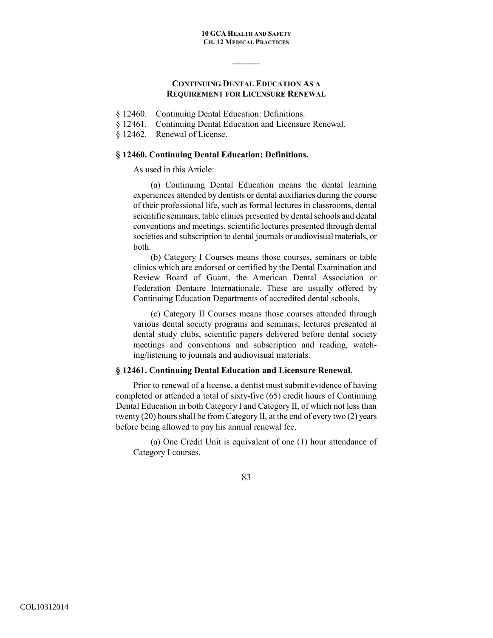# **CONTINUING DENTAL EDUCATION AS A REQUIREMENT FOR LICENSURE RENEWAL**

----------

- § 12460. Continuing Dental Education: Definitions.
- § 12461. Continuing Dental Education and Licensure Renewal.

§ 12462. Renewal of License.

# **§ 12460. Continuing Dental Education: Definitions.**

As used in this Article:

(a) Continuing Dental Education means the dental learning experiences attended by dentists or dental auxiliaries during the course of their professional life, such as formal lectures in classrooms, dental scientific seminars, table clinics presented by dental schools and dental conventions and meetings, scientific lectures presented through dental societies and subscription to dental journals or audiovisual materials, or both.

(b) Category I Courses means those courses, seminars or table clinics which are endorsed or certified by the Dental Examination and Review Board of Guam, the American Dental Association or Federation Dentaire Internationale. These are usually offered by Continuing Education Departments of accredited dental schools.

(c) Category II Courses means those courses attended through various dental society programs and seminars, lectures presented at dental study clubs, scientific papers delivered before dental society meetings and conventions and subscription and reading, watching/listening to journals and audiovisual materials.

# **§ 12461. Continuing Dental Education and Licensure Renewal.**

 Prior to renewal of a license, a dentist must submit evidence of having completed or attended a total of sixty-five (65) credit hours of Continuing Dental Education in both Category I and Category II, of which not less than twenty (20) hours shall be from Category II, at the end of every two (2) years before being allowed to pay his annual renewal fee.

 (a) One Credit Unit is equivalent of one (1) hour attendance of Category I courses.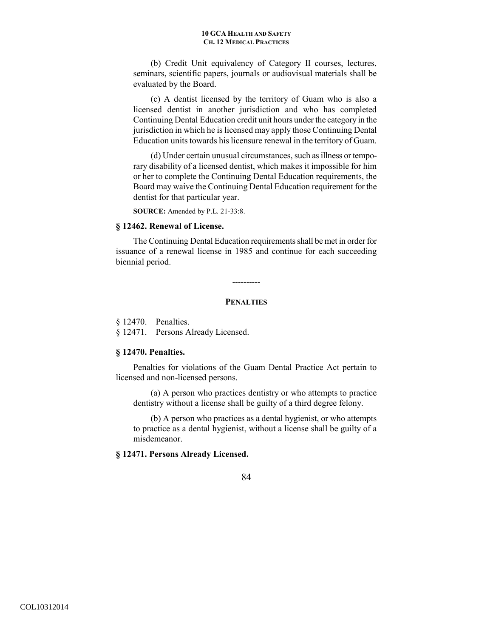(b) Credit Unit equivalency of Category II courses, lectures, seminars, scientific papers, journals or audiovisual materials shall be evaluated by the Board.

 (c) A dentist licensed by the territory of Guam who is also a licensed dentist in another jurisdiction and who has completed Continuing Dental Education credit unit hours under the category in the jurisdiction in which he is licensed may apply those Continuing Dental Education units towards his licensure renewal in the territory of Guam.

 (d) Under certain unusual circumstances, such as illness or temporary disability of a licensed dentist, which makes it impossible for him or her to complete the Continuing Dental Education requirements, the Board may waive the Continuing Dental Education requirement for the dentist for that particular year.

**SOURCE:** Amended by P.L. 21-33:8.

# **§ 12462. Renewal of License.**

 The Continuing Dental Education requirements shall be met in order for issuance of a renewal license in 1985 and continue for each succeeding biennial period.

----------

## **PENALTIES**

§ 12470. Penalties.

§ 12471. Persons Already Licensed.

### **§ 12470. Penalties.**

 Penalties for violations of the Guam Dental Practice Act pertain to licensed and non-licensed persons.

(a) A person who practices dentistry or who attempts to practice dentistry without a license shall be guilty of a third degree felony.

(b) A person who practices as a dental hygienist, or who attempts to practice as a dental hygienist, without a license shall be guilty of a misdemeanor.

# **§ 12471. Persons Already Licensed.**